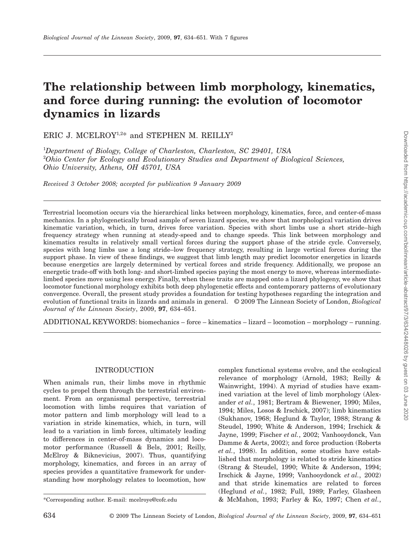# **The relationship between limb morphology, kinematics, and force during running: the evolution of locomotor** dynamics in lizards

ERIC J. MCELROY<sup>1,2\*</sup> and STEPHEN M. REILLY<sup>2</sup>

1 *Department of Biology, College of Charleston, Charleston, SC 29401, USA* 2 *Ohio Center for Ecology and Evolutionary Studies and Department of Biological Sciences, Ohio University, Athens, OH 45701, USA*

*Received 3 October 2008; accepted for publication 9 January 2009*

Terrestrial locomotion occurs via the hierarchical links between morphology, kinematics, force, and center-of-mass mechanics. In a phylogenetically broad sample of seven lizard species, we show that morphological variation drives kinematic variation, which, in turn, drives force variation. Species with short limbs use a short stride–high frequency strategy when running at steady-speed and to change speeds. This link between morphology and kinematics results in relatively small vertical forces during the support phase of the stride cycle. Conversely, species with long limbs use a long stride–low frequency strategy, resulting in large vertical forces during the support phase. In view of these findings, we suggest that limb length may predict locomotor energetics in lizards because energetics are largely determined by vertical forces and stride frequency. Additionally, we propose an energetic trade-off with both long- and short-limbed species paying the most energy to move, whereas intermediatelimbed species move using less energy. Finally, when these traits are mapped onto a lizard phylogeny, we show that locomotor functional morphology exhibits both deep phylogenetic effects and contemporary patterns of evolutionary convergence. Overall, the present study provides a foundation for testing hypotheses regarding the integration and evolution of functional traits in lizards and animals in general. © 2009 The Linnean Society of London, *Biological Journal of the Linnean Society*, 2009, **97**, 634–651.

ADDITIONAL KEYWORDS: biomechanics – force – kinematics – lizard – locomotion – morphology – running.

## INTRODUCTION

When animals run, their limbs move in rhythmic cycles to propel them through the terrestrial environment. From an organismal perspective, terrestrial locomotion with limbs requires that variation of motor pattern and limb morphology will lead to a variation in stride kinematics, which, in turn, will lead to a variation in limb forces, ultimately leading to differences in center-of-mass dynamics and locomotor performance (Russell & Bels, 2001; Reilly, McElroy & Biknevicius, 2007). Thus, quantifying morphology, kinematics, and forces in an array of species provides a quantitative framework for understanding how morphology relates to locomotion, how

complex functional systems evolve, and the ecological relevance of morphology (Arnold, 1983; Reilly & Wainwright, 1994). A myriad of studies have examined variation at the level of limb morphology (Alexander *et al.*, 1981; Bertram & Biewener, 1990; Miles, 1994; Miles, Losos & Irschick, 2007); limb kinematics (Sukhanov, 1968; Heglund & Taylor, 1988; Strang & Steudel, 1990; White & Anderson, 1994; Irschick & Jayne, 1999; Fischer *et al.*, 2002; Vanhooydonck, Van Damme & Aerts, 2002); and force production (Roberts *et al.*, 1998). In addition, some studies have established that morphology is related to stride kinematics (Strang & Steudel, 1990; White & Anderson, 1994; Irschick & Jayne, 1999; Vanhooydonck *et al.*, 2002) and that stride kinematics are related to forces (Heglund *et al.*, 1982; Full, 1989; Farley, Glasheen \*Corresponding author. E-mail: [mcelroye@cofc.edu](mailto:mcelroye@cofc.edu) & McMahon, 1993; Farley & Ko, 1997; Chen *et al.*,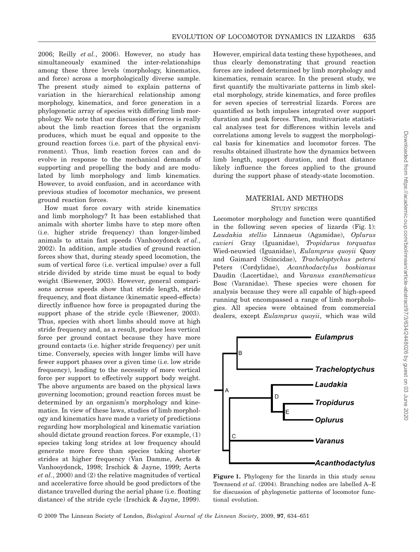2006; Reilly *et al.*, 2006). However, no study has simultaneously examined the inter-relationships among these three levels (morphology, kinematics, and force) across a morphologically diverse sample. The present study aimed to explain patterns of variation in the hierarchical relationship among morphology, kinematics, and force generation in a phylogenetic array of species with differing limb morphology. We note that our discussion of forces is really about the limb reaction forces that the organism produces, which must be equal and opposite to the ground reaction forces (i.e. part of the physical environment). Thus, limb reaction forces can and do evolve in response to the mechanical demands of supporting and propelling the body and are modulated by limb morphology and limb kinematics. However, to avoid confusion, and in accordance with previous studies of locomotor mechanics, we present ground reaction forces.

How must force covary with stride kinematics and limb morphology? It has been established that animals with shorter limbs have to step more often (i.e. higher stride frequency) than longer-limbed animals to attain fast speeds (Vanhooydonck *et al.*, 2002). In addition, ample studies of ground reaction forces show that, during steady speed locomotion, the sum of vertical force (i.e. vertical impulse) over a full stride divided by stride time must be equal to body weight (Biewener, 2003). However, general comparisons across speeds show that stride length, stride frequency, and float distance (kinematic speed-effects) directly influence how force is propagated during the support phase of the stride cycle (Biewener, 2003). Thus, species with short limbs should move at high stride frequency and, as a result, produce less vertical force per ground contact because they have more ground contacts (i.e. higher stride frequency) per unit time. Conversely, species with longer limbs will have fewer support phases over a given time (i.e. low stride frequency), leading to the necessity of more vertical force per support to effectively support body weight. The above arguments are based on the physical laws governing locomotion; ground reaction forces must be determined by an organism's morphology and kinematics. In view of these laws, studies of limb morphology and kinematics have made a variety of predictions regarding how morphological and kinematic variation should dictate ground reaction forces. For example, (1) species taking long strides at low frequency should generate more force than species taking shorter strides at higher frequency (Van Damme, Aerts & Vanhooydonck, 1998; Irschick & Jayne, 1999; Aerts *et al.*, 2000) and (2) the relative magnitudes of vertical and accelerative force should be good predictors of the distance travelled during the aerial phase (i.e. floating distance) of the stride cycle (Irschick & Jayne, 1999). However, empirical data testing these hypotheses, and thus clearly demonstrating that ground reaction forces are indeed determined by limb morphology and kinematics, remain scarce. In the present study, we first quantify the multivariate patterns in limb skeletal morphology, stride kinematics, and force profiles for seven species of terrestrial lizards. Forces are quantified as both impulses integrated over support duration and peak forces. Then, multivariate statistical analyses test for differences within levels and correlations among levels to suggest the morphological basis for kinematics and locomotor forces. The results obtained illustrate how the dynamics between limb length, support duration, and float distance likely influence the forces applied to the ground during the support phase of steady-state locomotion.

## MATERIAL AND METHODS

## STUDY SPECIES

Locomotor morphology and function were quantified in the following seven species of lizards (Fig. 1): *Laudakia stellio* Linnaeus (Agamidae), *Oplurus cuvieri* Gray (Iguanidae), *Tropidurus torquatus* Wied-neuwied (Iguanidae), *Eulamprus quoyii* Quoy and Gaimard (Scincidae), *Tracheloptychus petersi* Peters (Cordylidae), *Acanthodactylus boskianus* Daudin (Lacertidae), and *Varanus exanthematicus* Bosc (Varanidae). These species were chosen for analysis because they were all capable of high-speed running but encompassed a range of limb morphologies. All species were obtained from commercial dealers, except *Eulamprus quoyii*, which was wild



**Figure 1.** Phylogeny for the lizards in this study *sensu* Townsend *et al.* (2004). Branching nodes are labelled A–E for discussion of phylogenetic patterns of locomotor functional evolution.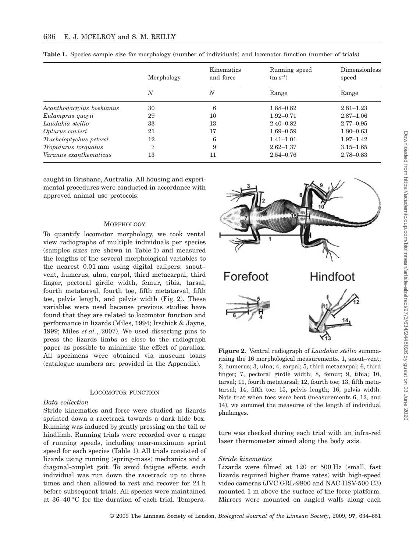|                           | Morphology | Kinematics<br>and force | Running speed<br>$(m s^{-1})$ | Dimensionless<br>speed |  |
|---------------------------|------------|-------------------------|-------------------------------|------------------------|--|
|                           | $_{N}$     | N                       | Range                         | Range                  |  |
| Acanthodactylus boskianus | 30         | 6                       | 1.88-0.82                     | $2.81 - 1.23$          |  |
| Eulamprus quoyii          | 29         | 10                      | $1.92 - 0.71$                 | $2.87 - 1.06$          |  |
| Laudakia stellio          | 33         | 13                      | $2.40 - 0.82$                 | $2.77 - 0.95$          |  |
| Oplurus cuvieri           | 21         | 17                      | $1.69 - 0.59$                 | $1.80 - 0.63$          |  |
| Tracheloptychus petersi   | 12         | 6                       | $1.41 - 1.01$                 | $1.97 - 1.42$          |  |
| Tropidurus torquatus      | 7          | 9                       | $2.62 - 1.37$                 | $3.15 - 1.65$          |  |
| Varanus exanthematicus    | 13         | 11                      | $2.54 - 0.76$                 | $2.78 - 0.83$          |  |

**Table 1.** Species sample size for morphology (number of individuals) and locomotor function (number of trials)

caught in Brisbane, Australia. All housing and experimental procedures were conducted in accordance with approved animal use protocols.

#### **MORPHOLOGY**

To quantify locomotor morphology, we took vental view radiographs of multiple individuals per species (samples sizes are shown in Table 1) and measured the lengths of the several morphological variables to the nearest 0.01 mm using digital calipers: snout– vent, humerus, ulna, carpal, third metacarpal, third finger, pectoral girdle width, femur, tibia, tarsal, fourth metatarsal, fourth toe, fifth metatarsal, fifth toe, pelvis length, and pelvis width (Fig. 2). These variables were used because previous studies have found that they are related to locomotor function and performance in lizards (Miles, 1994; Irschick & Jayne, 1999; Miles *et al.*, 2007). We used dissecting pins to press the lizards limbs as close to the radiograph paper as possible to minimize the effect of parallax. All specimens were obtained via museum loans (catalogue numbers are provided in the Appendix).

#### LOCOMOTOR FUNCTION

## *Data collection*

Stride kinematics and force were studied as lizards sprinted down a racetrack towards a dark hide box. Running was induced by gently pressing on the tail or hindlimb. Running trials were recorded over a range of running speeds, including near-maximum sprint speed for each species (Table 1). All trials consisted of lizards using running (spring-mass) mechanics and a diagonal-couplet gait. To avoid fatigue effects, each individual was run down the racetrack up to three times and then allowed to rest and recover for 24 h before subsequent trials. All species were maintained at 36–40 °C for the duration of each trial. Tempera-



**Figure 2.** Ventral radiograph of *Laudakia stellio* summarizing the 16 morphological measurements. 1, snout–vent; 2, humerus; 3, ulna; 4, carpal; 5, third metacarpal; 6, third finger; 7, pectoral girdle width; 8, femur; 9, tibia; 10, tarsal; 11, fourth metatarsal; 12, fourth toe; 13, fifth metatarsal; 14, fifth toe; 15, pelvis length; 16, pelvis width. Note that when toes were bent (measurements 6, 12, and 14), we summed the measures of the length of individual phalanges.

ture was checked during each trial with an infra-red laser thermometer aimed along the body axis.

## *Stride kinematics*

Lizards were filmed at 120 or 500 Hz (small, fast lizards required higher frame rates) with high-speed video cameras (JVC GRL-9800 and NAC HSV-500 C3) mounted 1 m above the surface of the force platform. Mirrors were mounted on angled walls along each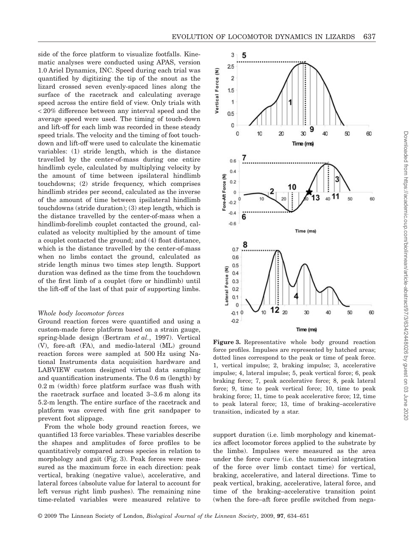side of the force platform to visualize footfalls. Kinematic analyses were conducted using APAS, version 1.0 Ariel Dynamics, INC. Speed during each trial was quantified by digitizing the tip of the snout as the lizard crossed seven evenly-spaced lines along the surface of the racetrack and calculating average speed across the entire field of view. Only trials with < 20% difference between any interval speed and the average speed were used. The timing of touch-down and lift-off for each limb was recorded in these steady speed trials. The velocity and the timing of foot touchdown and lift-off were used to calculate the kinematic variables: (1) stride length, which is the distance travelled by the center-of-mass during one entire hindlimb cycle, calculated by multiplying velocity by the amount of time between ipsilateral hindlimb touchdowns; (2) stride frequency, which comprises hindlimb strides per second, calculated as the inverse of the amount of time between ipsilateral hindlimb touchdowns (stride duration); (3) step length, which is the distance travelled by the center-of-mass when a hindlimb-forelimb couplet contacted the ground, calculated as velocity multiplied by the amount of time a couplet contacted the ground; and (4) float distance, which is the distance travelled by the center-of-mass when no limbs contact the ground, calculated as stride length minus two times step length. Support duration was defined as the time from the touchdown of the first limb of a couplet (fore or hindlimb) until the lift-off of the last of that pair of supporting limbs.

#### *Whole body locomotor forces*

Ground reaction forces were quantified and using a custom-made force platform based on a strain gauge, spring-blade design (Bertram *et al.*, 1997). Vertical (V), fore-aft (FA), and medio-lateral (ML) ground reaction forces were sampled at 500 Hz using National Instruments data acquisition hardware and LABVIEW custom designed virtual data sampling and quantification instruments. The 0.6 m (length) by 0.2 m (width) force platform surface was flush with the racetrack surface and located 3–3.6 m along its 5.2-m length. The entire surface of the racetrack and platform was covered with fine grit sandpaper to prevent foot slippage.

From the whole body ground reaction forces, we quantified 13 force variables. These variables describe the shapes and amplitudes of force profiles to be quantitatively compared across species in relation to morphology and gait (Fig. 3). Peak forces were measured as the maximum force in each direction: peak vertical, braking (negative value), accelerative, and lateral forces (absolute value for lateral to account for left versus right limb pushes). The remaining nine time-related variables were measured relative to





**Figure 3.** Representative whole body ground reaction force profiles. Impulses are represented by hatched areas; dotted lines correspond to the peak or time of peak force. 1, vertical impulse; 2, braking impulse; 3, accelerative impulse; 4, lateral impulse; 5, peak vertical force; 6, peak braking force; 7, peak accelerative force; 8, peak lateral force; 9, time to peak vertical force; 10, time to peak braking force; 11, time to peak accelerative force; 12, time to peak lateral force; 13, time of braking–accelerative transition, indicated by a star.

support duration (i.e. limb morphology and kinematics affect locomotor forces applied to the substrate by the limbs). Impulses were measured as the area under the force curve (i.e. the numerical integration of the force over limb contact time) for vertical, braking, accelerative, and lateral directions. Time to peak vertical, braking, accelerative, lateral force, and time of the braking–accelerative transition point (when the fore–aft force profile switched from nega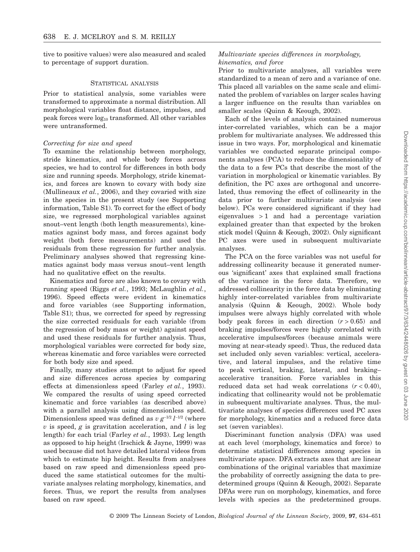tive to positive values) were also measured and scaled to percentage of support duration.

## STATISTICAL ANALYSIS

Prior to statistical analysis, some variables were transformed to approximate a normal distribution. All morphological variables float distance, impulses, and peak forces were  $log_{10}$  transformed. All other variables were untransformed.

## *Correcting for size and speed*

To examine the relationship between morphology, stride kinematics, and whole body forces across species, we had to control for differences in both body size and running speeds. Morphology, stride kinematics, and forces are known to covary with body size (Mullineaux *et al.*, 2006), and they covaried with size in the species in the present study (see Supporting information, Table S1). To correct for the effect of body size, we regressed morphological variables against snout–vent length (both length measurements), kinematics against body mass, and forces against body weight (both force measurements) and used the residuals from these regression for further analysis. Preliminary analyses showed that regressing kinematics against body mass versus snout–vent length had no qualitative effect on the results.

Kinematics and force are also known to covary with running speed (Riggs *et al.*, 1993; McLaughlin *et al.*, 1996). Speed effects were evident in kinematics and force variables (see Supporting information, Table S1); thus, we corrected for speed by regressing the size corrected residuals for each variable (from the regression of body mass or weight) against speed and used these residuals for further analysis. Thus, morphological variables were corrected for body size, whereas kinematic and force variables were corrected for both body size and speed.

Finally, many studies attempt to adjust for speed and size differences across species by comparing effects at dimensionless speed (Farley *et al.*, 1993). We compared the results of using speed corrected kinematic and force variables (as described above) with a parallel analysis using dimensionless speed. Dimensionless speed was defined as  $v g^{-1/2} l^{-1/2}$  (where *v* is speed, *g* is gravitation acceleration, and *l* is leg length) for each trial (Farley *et al.*, 1993). Leg length as opposed to hip height (Irschick & Jayne, 1999) was used because did not have detailed lateral videos from which to estimate hip height. Results from analyses based on raw speed and dimensionless speed produced the same statistical outcomes for the multivariate analyses relating morphology, kinematics, and forces. Thus, we report the results from analyses based on raw speed.

## *Multivariate species differences in morphology, kinematics, and force*

Prior to multivariate analyses, all variables were standardized to a mean of zero and a variance of one. This placed all variables on the same scale and eliminated the problem of variables on larger scales having a larger influence on the results than variables on smaller scales (Quinn & Keough, 2002).

Each of the levels of analysis contained numerous inter-correlated variables, which can be a major problem for multivariate analyses. We addressed this issue in two ways. For, morphological and kinematic variables we conducted separate principal components analyses (PCA) to reduce the dimensionality of the data to a few PCs that describe the most of the variation in morphological or kinematic variables. By definition, the PC axes are orthogonal and uncorrelated, thus removing the effect of collinearity in the data prior to further multivariate analysis (see below). PCs were considered significant if they had eigenvalues  $> 1$  and had a percentage variation explained greater than that expected by the broken stick model (Quinn & Keough, 2002). Only significant PC axes were used in subsequent multivariate analyses.

The PCA on the force variables was not useful for addressing collinearity because it generated numerous 'significant' axes that explained small fractions of the variance in the force data. Therefore, we addressed collinearity in the force data by eliminating highly inter-correlated variables from multivariate analysis (Quinn & Keough, 2002). Whole body impulses were always highly correlated with whole body peak forces in each direction  $(r > 0.65)$  and braking impulses/forces were highly correlated with accelerative impulses/forces (because animals were moving at near-steady speed). Thus, the reduced data set included only seven variables: vertical, accelerative, and lateral impulses, and the relative time to peak vertical, braking, lateral, and braking– accelerative transition. Force variables in this reduced data set had weak correlations  $(r < 0.40)$ , indicating that collinearity would not be problematic in subsequent multivariate analyses. Thus, the multivariate analyses of species differences used PC axes for morphology, kinematics and a reduced force data set (seven variables).

Discriminant function analysis (DFA) was used at each level (morphology, kinematics and force) to determine statistical differences among species in multivariate space. DFA extracts axes that are linear combinations of the original variables that maximize the probability of correctly assigning the data to predetermined groups (Quinn & Keough, 2002). Separate DFAs were run on morphology, kinematics, and force levels with species as the predetermined groups.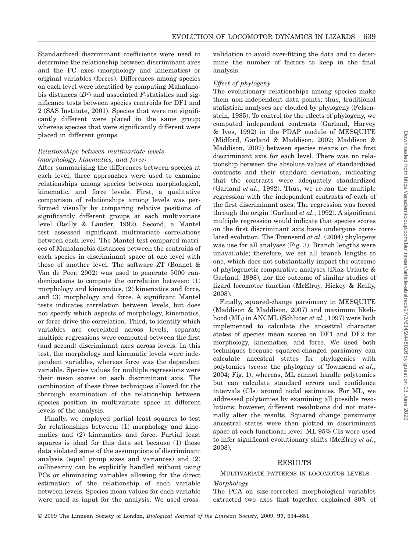Standardized discriminant coefficients were used to determine the relationship between discriminant axes and the PC axes (morphology and kinematics) or original variables (forces). Differences among species on each level were identified by computing Mahalanobis distances  $(D^2)$  and associated *F*-statistics and significance tests between species centroids for DF1 and 2 (SAS Institute, 2001). Species that were not significantly different were placed in the same group; whereas species that were significantly different were placed in different groups.

## *Relationships between multivariate levels (morphology, kinematics, and force)*

After summarizing the differences between species at each level, three approaches were used to examine relationships among species between morphological, kinematic, and force levels. First, a qualitative comparison of relationships among levels was performed visually by comparing relative positions of significantly different groups at each multivariate level (Reilly & Lauder, 1992). Second, a Mantel test assessed significant multivariate correlations between each level. The Mantel test compared matrices of Mahalanobis distances between the centroids of each species in discriminant space at one level with those of another level. The software ZT (Bonnet & Van de Peer, 2002) was used to generate 5000 randomizations to compute the correlation between: (1) morphology and kinematics, (2) kinematics and force, and (3) morphology and force. A significant Mantel tests indicates correlation between levels, but does not specify which aspects of morphology, kinematics, or force drive the correlation. Third, to identify which variables are correlated across levels, separate multiple regressions were computed between the first (and second) discriminant axes across levels. In this test, the morphology and kinematic levels were independent variables, whereas force was the dependent variable. Species values for multiple regressions were their mean scores on each discriminant axis. The combination of these three techniques allowed for the thorough examination of the relationship between species position in multivariate space at different levels of the analysis.

Finally, we employed partial least squares to test for relationships between: (1) morphology and kinematics and (2) kinematics and force. Partial least squares is ideal for this data set because (1) these data violated some of the assumptions of discriminant analysis (equal group sizes and variances) and (2) collinearity can be explicitly handled without using PCs or eliminating variables allowing for the direct estimation of the relationship of each variable between levels. Species mean values for each variable were used as input for the analysis. We used crossvalidation to avoid over-fitting the data and to determine the number of factors to keep in the final analysis.

## *Effect of phylogeny*

The evolutionary relationships among species make them non-independent data points; thus, traditional statistical analyses are clouded by phylogeny (Felsenstein, 1985). To control for the effects of phylogeny, we computed independent contrasts (Garland, Harvey & Ives, 1992) in the PDAP module of MESQUITE (Midford, Garland & Maddison, 2002; Maddison & Maddison, 2007) between species means on the first discriminant axis for each level. There was no relationship between the absolute values of standardized contrasts and their standard deviation, indicating that the contrasts were adequately standardized (Garland *et al.*, 1992). Thus, we re-ran the multiple regression with the independent contrasts of each of the first discriminant axes. The regression was forced through the origin (Garland *et al.*, 1992). A significant multiple regression would indicate that species scores on the first discriminant axis have undergone correlated evolution. The Townsend *et al.* (2004) phylogeny was use for all analyses (Fig. 3). Branch lengths were unavailable; therefore, we set all branch lengths to one, which does not substantially impact the outcome of phylogenetic comparative analyses (Diaz-Uriarte & Garland, 1998), nor the outcome of similar studies of lizard locomotor function (McElroy, Hickey & Reilly, 2008).

Finally, squared-change parsimony in MESQUITE (Maddison & Maddison, 2007) and maximum likelihood (ML) in ANCML (Schluter *et al.*, 1997) were both implemented to calculate the ancestral character states of species mean scores on DF1 and DF2 for morphology, kinematics, and force. We used both techniques because squared-changed parsimony can calculate ancestral states for phylogenies with polytomies (*sensu* the phylogeny of Townsend *et al.*, 2004; Fig. 1), whereas, ML cannot handle polytomies but can calculate standard errors and confidence intervals (CIs) around nodal estimates. For ML, we addressed polytomies by examining all possible resolutions; however, different resolutions did not materially alter the results. Squared change parsimony ancestral states were then plotted in discriminant space at each functional level. ML 95% CIs were used to infer significant evolutionary shifts (McElroy *et al.*, 2008).

## RESULTS

## MULTIVARIATE PATTERNS IN LOCOMOTOR LEVELS

## *Morphology*

The PCA on size-corrected morphological variables extracted two axes that together explained 80% of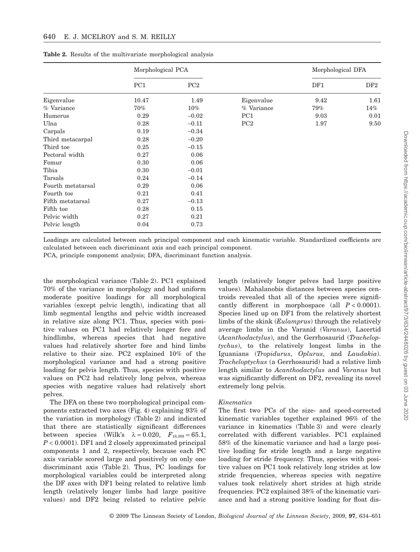|                   | Morphological PCA |         |            | Morphological DFA |        |
|-------------------|-------------------|---------|------------|-------------------|--------|
|                   | PC1               | PC2     |            | DF1               | DF2    |
| Eigenvalue        | 10.47             | 1.49    | Eigenvalue | 9.42              | 1.61   |
| % Variance        | $70\%$            | $10\%$  | % Variance | $79\%$            | $14\%$ |
| Humerus           | 0.29              | $-0.02$ | PC1        | 9.03              | 0.01   |
| Ulna              | 0.28              | $-0.11$ | PC2        | 1.97              | 9.50   |
| Carpals           | 0.19              | $-0.34$ |            |                   |        |
| Third metacarpal  | 0.28              | $-0.20$ |            |                   |        |
| Third toe         | 0.25              | $-0.15$ |            |                   |        |
| Pectoral width    | 0.27              | 0.06    |            |                   |        |
| Femur             | 0.30              | 0.06    |            |                   |        |
| Tibia             | 0.30              | $-0.01$ |            |                   |        |
| Tarsals           | 0.24              | $-0.14$ |            |                   |        |
| Fourth metatarsal | 0.29              | 0.06    |            |                   |        |
| Fourth toe        | 0.21              | 0.41    |            |                   |        |
| Fifth metatarsal  | 0.27              | $-0.13$ |            |                   |        |
| Fifth toe         | 0.28              | 0.15    |            |                   |        |
| Pelvic width      | 0.27              | 0.21    |            |                   |        |
| Pelvic length     | 0.04              | 0.73    |            |                   |        |

**Table 2.** Results of the multivariate morphological analysis

Loadings are calculated between each principal component and each kinematic variable. Standardized coefficients are calculated between each discriminant axis and each principal component.

PCA, principle componemt analysis; DFA, discriminant function analysis.

the morphological variance (Table 2). PC1 explained 70% of the variance in morphology and had uniform moderate positive loadings for all morphological variables (except pelvic length), indicating that all limb segmental lengths and pelvic width increased in relative size along PC1. Thus, species with positive values on PC1 had relatively longer fore and hindlimbs, whereas species that had negative values had relatively shorter fore and hind limbs relative to their size. PC2 explained 10% of the morphological variance and had a strong positive loading for pelvis length. Thus, species with positive values on PC2 had relatively long pelves, whereas species with negative values had relatively short pelves.

The DFA on these two morphological principal components extracted two axes (Fig. 4) explaining 93% of the variation in morphology (Table 2) and indicated that there are statistically significant differences between species (Wilk's  $\lambda = 0.020$ ,  $F_{18,388} = 65.1$ , *P* < 0.0001). DF1 and 2 closely approximated principal components 1 and 2, respectively, because each PC axis variable scored large and positively on only one discriminant axis (Table 2). Thus, PC loadings for morphological variables could be interpreted along the DF axes with DF1 being related to relative limb length (relatively longer limbs had large positive values) and DF2 being related to relative pelvic

length (relatively longer pelves had large positive values). Mahalanobis distances between species centroids revealed that all of the species were significantly different in morphospace (all  $P < 0.0001$ ). Species lined up on DF1 from the relatively shortest limbs of the skink (*Eulamprus*) through the relatively average limbs in the Varanid (*Varanus*), Lacertid (*Acanthodactylus*), and the Gerrhosaurid (*Tracheloptychus*), to the relatively longest limbs in the Iguanians (*Tropidurus*, *Oplurus*, and *Laudakia*). *Tracheloptychus* (a Gerrhosaurid) had a relative limb length similar to *Acanthodactylus* and *Varanus* but was significantly different on DF2, revealing its novel extremely long pelvis.

## *Kinematics*

The first two PCs of the size- and speed-corrected kinematic variables together explained 96% of the variance in kinematics (Table 3) and were clearly correlated with different variables. PC1 explained 58% of the kinematic variance and had a large positive loading for stride length and a large negative loading for stride frequency. Thus, species with positive values on PC1 took relatively long strides at low stride frequencies, whereas species with negative values took relatively short strides at high stride frequencies. PC2 explained 38% of the kinematic variance and had a strong positive loading for float dis-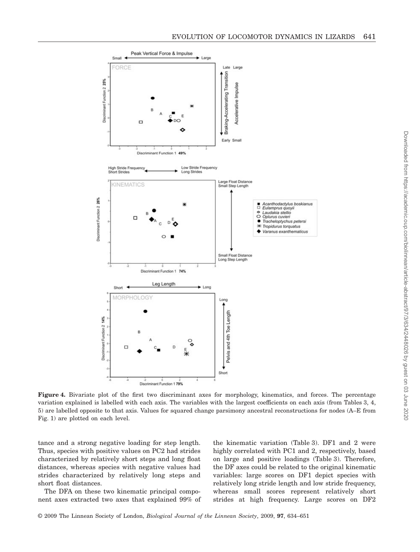

**Figure 4.** Bivariate plot of the first two discriminant axes for morphology, kinematics, and forces. The percentage variation explained is labelled with each axis. The variables with the largest coefficients on each axis (from Tables 3, 4, 5) are labelled opposite to that axis. Values for squared change parsimony ancestral reconstructions for nodes (A–E from Fig. 1) are plotted on each level.

tance and a strong negative loading for step length. Thus, species with positive values on PC2 had strides characterized by relatively short steps and long float distances, whereas species with negative values had strides characterized by relatively long steps and short float distances.

The DFA on these two kinematic principal component axes extracted two axes that explained 99% of the kinematic variation (Table 3). DF1 and 2 were highly correlated with PC1 and 2, respectively, based on large and positive loadings (Table 3). Therefore, the DF axes could be related to the original kinematic variables: large scores on DF1 depict species with relatively long stride length and low stride frequency, whereas small scores represent relatively short strides at high frequency. Large scores on DF2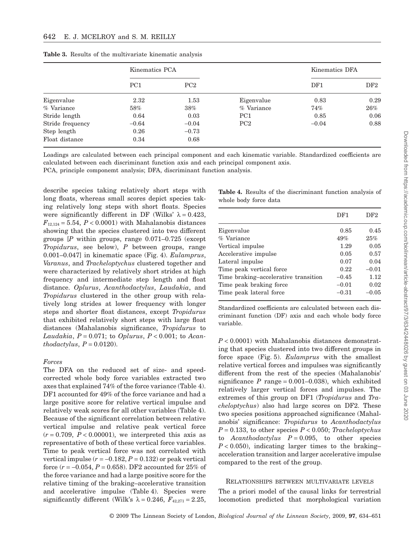|                  | Kinematics PCA  |         |                 | Kinematics DFA |        |
|------------------|-----------------|---------|-----------------|----------------|--------|
|                  | PC <sub>1</sub> | PC2     |                 | DF1            | DF2    |
| Eigenvalue       | 2.32            | 1.53    | Eigenvalue      | 0.83           | 0.29   |
| % Variance       | 58%             | 38%     | % Variance      | 74%            | $26\%$ |
| Stride length    | 0.64            | 0.03    | PC <sub>1</sub> | 0.85           | 0.06   |
| Stride frequency | $-0.64$         | $-0.04$ | PC2             | $-0.04$        | 0.88   |
| Step length      | 0.26            | $-0.73$ |                 |                |        |
| Float distance   | 0.34            | 0.68    |                 |                |        |

**Table 3.** Results of the multivariate kinematic analysis

Loadings are calculated between each principal component and each kinematic variable. Standardized coefficients are calculated between each discriminant function axis and each principal component axis.

PCA, principle componemt analysis; DFA, discriminant function analysis.

describe species taking relatively short steps with long floats, whereas small scores depict species taking relatively long steps with short floats. Species were significantly different in DF (Wilks'  $\lambda = 0.423$ ,  $F_{12,124} = 5.54, P < 0.0001$ ) with Mahalanobis distances showing that the species clustered into two different groups [*P* within groups, range 0.071–0.725 (except *Tropidurus*, see below), *P* between groups, range 0.001–0.047] in kinematic space (Fig. 4). *Eulamprus*, *Varanus*, and *Tracheloptychus* clustered together and were characterized by relatively short strides at high frequency and intermediate step length and float distance. *Oplurus*, *Acanthodactylus*, *Laudakia*, and *Tropidurus* clustered in the other group with relatively long strides at lower frequency with longer steps and shorter float distances, except *Tropidurus* that exhibited relatively short steps with large float distances (Mahalanobis significance, *Tropidurus* to *Laudakia*, *P* = 0.071; to *Oplurus*, *P* < 0.001; to *Acan* $thodactylus$ ,  $P = 0.0120$ .

## *Forces*

The DFA on the reduced set of size- and speedcorrected whole body force variables extracted two axes that explained 74% of the force variance (Table 4). DF1 accounted for 49% of the force variance and had a large positive score for relative vertical impulse and relatively weak scores for all other variables (Table 4). Because of the significant correlation between relative vertical impulse and relative peak vertical force  $(r = 0.709, P < 0.00001)$ , we interpreted this axis as representative of both of these vertical force variables. Time to peak vertical force was not correlated with vertical impulse  $(r = -0.182, P = 0.132)$  or peak vertical force  $(r = -0.054, P = 0.658)$ . DF2 accounted for 25% of the force variance and had a large positive score for the relative timing of the braking–accelerative transition and accelerative impulse (Table 4). Species were significantly different (Wilk's  $\lambda = 0.246$ ,  $F_{42,271} = 2.25$ ,

**Table 4.** Results of the discriminant function analysis of whole body force data

|                                      | DF1     | DF2     |
|--------------------------------------|---------|---------|
| Eigenvalue                           | 0.85    | 0.45    |
| % Variance                           | 49%     | $25\%$  |
| Vertical impulse                     | 1.29    | 0.05    |
| Accelerative impulse                 | 0.05    | 0.57    |
| Lateral impulse                      | 0.07    | 0.04    |
| Time peak vertical force             | 0.22    | $-0.01$ |
| Time braking-accelerative transition | $-0.45$ | 1.12    |
| Time peak braking force              | $-0.01$ | 0.02    |
| Time peak lateral force              | $-0.31$ | $-0.05$ |
|                                      |         |         |

Standardized coefficients are calculated between each discriminant function (DF) axis and each whole body force variable.

 $P < 0.0001$ ) with Mahalanobis distances demonstrating that species clustered into two different groups in force space (Fig. 5). *Eulamprus* with the smallest relative vertical forces and impulses was significantly different from the rest of the species (Mahalanobis' significance  $P$  range = 0.001–0.038), which exhibited relatively larger vertical forces and impulses. The extremes of this group on DF1 (*Tropidurus* and *Tracheloptychus*) also had large scores on DF2. These two species positions approached significance (Mahalanobis' significance: *Tropidurus* to *Acanthodactylus P* = 0.133, to other species *P* < 0.050; *Tracheloptychus* to  $A canthodactylus$   $P=0.095$ , to other species  $P < 0.050$ ), indicating larger times to the braking– acceleration transition and larger accelerative impulse compared to the rest of the group.

#### RELATIONSHIPS BETWEEN MULTIVARIATE LEVELS

The a priori model of the causal links for terrestrial locomotion predicted that morphological variation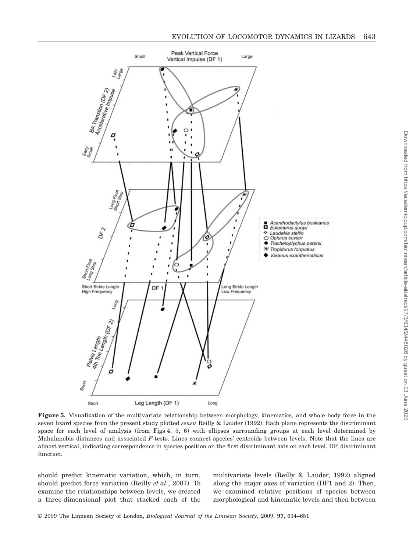

**Figure 5.** Visualization of the multivariate relationship between morphology, kinematics, and whole body force in the seven lizard species from the present study plotted *sensu* Reilly & Lauder (1992). Each plane represents the discriminant space for each level of analysis (from Figs 4, 5, 6) with ellipses surrounding groups at each level determined by Mahalanobis distances and associated *F*-tests. Lines connect species' centroids between levels. Note that the lines are almost vertical, indicating correspondence in species position on the first discriminant axis on each level. DF, discriminant function.

should predict kinematic variation, which, in turn, should predict force variation (Reilly *et al.*, 2007). To examine the relationships between levels, we created a three-dimensional plot that stacked each of the multivariate levels (Reilly & Lauder, 1992) aligned along the major axes of variation (DF1 and 2). Then, we examined relative positions of species between morphological and kinematic levels and then between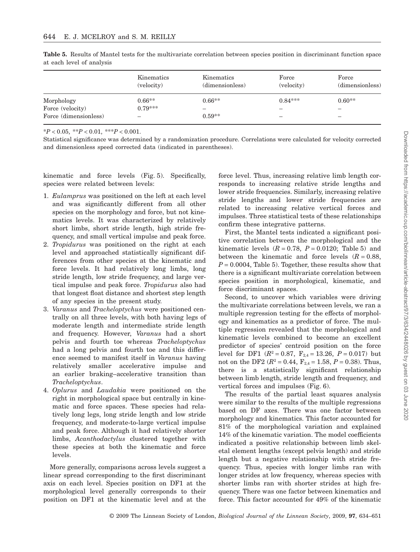|                       | Kinematics<br>(velocity) | Kinematics<br>(dimensionless) | Force<br>(velocity)      | Force<br>(dimensionless) |
|-----------------------|--------------------------|-------------------------------|--------------------------|--------------------------|
| Morphology            | $0.66**$                 | $0.66**$                      | $0.84***$                | $0.60**$                 |
| Force (velocity)      | $0.79***$                | -                             | $\overline{\phantom{0}}$ | -                        |
| Force (dimensionless) |                          | $0.59**$                      | -                        | -                        |

**Table 5.** Results of Mantel tests for the multivariate correlation between species position in discriminant function space at each level of analysis

\**P* < 0.05, \*\**P* < 0.01, \*\*\**P* < 0.001.

Statistical significance was determined by a randomization procedure. Correlations were calculated for velocity corrected and dimensionless speed corrected data (indicated in parentheses).

kinematic and force levels (Fig. 5). Specifically, species were related between levels:

- 1. *Eulamprus* was positioned on the left at each level and was significantly different from all other species on the morphology and force, but not kinematics levels. It was characterized by relatively short limbs, short stride length, high stride frequency, and small vertical impulse and peak force.
- 2. *Tropidurus* was positioned on the right at each level and approached statistically significant differences from other species at the kinematic and force levels. It had relatively long limbs, long stride length, low stride frequency, and large vertical impulse and peak force. *Tropidurus* also had that longest float distance and shortest step length of any species in the present study.
- 3. *Varanus* and *Tracheloptychus* were positioned centrally on all three levels, with both having legs of moderate length and intermediate stride length and frequency. However, *Varanus* had a short pelvis and fourth toe whereas *Tracheloptychus* had a long pelvis and fourth toe and this difference seemed to manifest itself in *Varanus* having relatively smaller accelerative impulse and an earlier braking–accelerative transition than *Tracheloptychus*.
- 4. *Oplurus* and *Laudakia* were positioned on the right in morphological space but centrally in kinematic and force spaces. These species had relatively long legs, long stride length and low stride frequency, and moderate-to-large vertical impulse and peak force. Although it had relatively shorter limbs, *Acanthodactylus* clustered together with these species at both the kinematic and force levels.

More generally, comparisons across levels suggest a linear spread corresponding to the first discriminant axis on each level. Species position on DF1 at the morphological level generally corresponds to their position on DF1 at the kinematic level and at the force level. Thus, increasing relative limb length corresponds to increasing relative stride lengths and lower stride frequencies. Similarly, increasing relative stride lengths and lower stride frequencies are related to increasing relative vertical forces and impulses. Three statistical tests of these relationships confirm these integrative patterns.

First, the Mantel tests indicated a significant positive correlation between the morphological and the kinematic levels  $(R = 0.78, P = 0.0120;$  Table 5) and between the kinematic and force levels  $(R = 0.88,$  $P = 0.0004$ , Table 5). Together, these results show that there is a significant multivariate correlation between species position in morphological, kinematic, and force discriminant spaces.

Second, to uncover which variables were driving the multivariate correlations between levels, we ran a multiple regression testing for the effects of morphology and kinematics as a predictor of force. The multiple regression revealed that the morphological and kinematic levels combined to become an excellent predictor of species' centroid position on the force level for DF1  $(R^2 = 0.87, F_{2,4} = 13.26, P = 0.017)$  but not on the DF2 ( $R^2 = 0.44$ ,  $F_{2,4} = 1.58$ ,  $P = 0.38$ ). Thus, there is a statistically significant relationship between limb length, stride length and frequency, and vertical forces and impulses (Fig. 6).

The results of the partial least squares analysis were similar to the results of the multiple regressions based on DF axes. There was one factor between morphology and kinematics. This factor accounted for 81% of the morphological variation and explained 14% of the kinematic variation. The model coefficients indicated a positive relationship between limb skeletal element lengths (except pelvis length) and stride length but a negative relationship with stride frequency. Thus, species with longer limbs ran with longer strides at low frequency, whereas species with shorter limbs ran with shorter strides at high frequency. There was one factor between kinematics and force. This factor accounted for 49% of the kinematic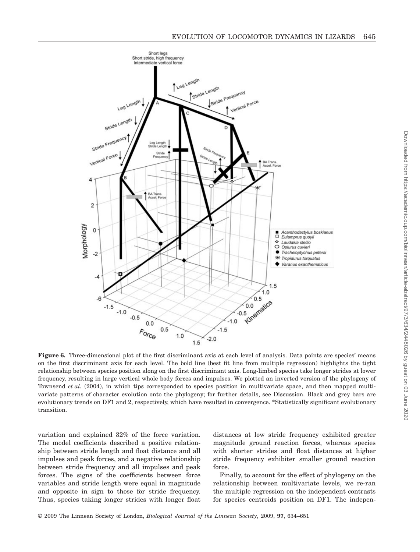

**Figure 6.** Three-dimensional plot of the first discriminant axis at each level of analysis. Data points are species' means on the first discriminant axis for each level. The bold line (best fit line from multiple regression) highlights the tight relationship between species position along on the first discriminant axis. Long-limbed species take longer strides at lower frequency, resulting in large vertical whole body forces and impulses. We plotted an inverted version of the phylogeny of Townsend *et al.* (2004), in which tips corresponded to species position in multivariate space, and then mapped multivariate patterns of character evolution onto the phylogeny; for further details, see Discussion. Black and grey bars are evolutionary trends on DF1 and 2, respectively, which have resulted in convergence. \*Statistically significant evolutionary transition.

variation and explained 32% of the force variation. The model coefficients described a positive relationship between stride length and float distance and all impulses and peak forces, and a negative relationship between stride frequency and all impulses and peak forces. The signs of the coefficients between force variables and stride length were equal in magnitude and opposite in sign to those for stride frequency. Thus, species taking longer strides with longer float distances at low stride frequency exhibited greater magnitude ground reaction forces, whereas species with shorter strides and float distances at higher stride frequency exhibiter smaller ground reaction force.

Finally, to account for the effect of phylogeny on the relationship between multivariate levels, we re-ran the multiple regression on the independent contrasts for species centroids position on DF1. The indepen-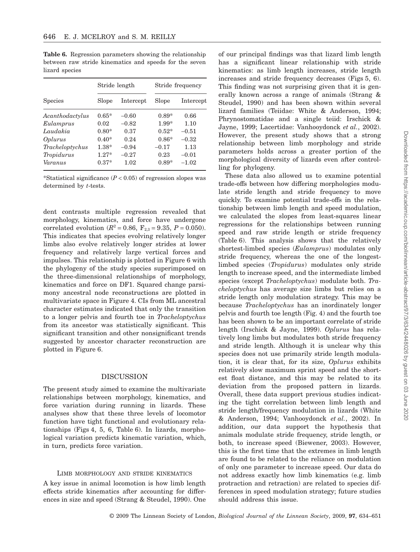**Table 6.** Regression parameters showing the relationship between raw stride kinematics and speeds for the seven lizard species

|                 | Stride length |           | Stride frequency |           |
|-----------------|---------------|-----------|------------------|-----------|
| <b>Species</b>  | Slope         | Intercept | Slope            | Intercept |
| Acanthodactylus | $0.65*$       | $-0.60$   | $0.89*$          | 0.66      |
| Eulamprus       | 0.02          | $-0.82$   | $1.99*$          | 1.10      |
| Laudakia        | $0.80*$       | 0.37      | $0.52*$          | $-0.51$   |
| Oplurus         | $0.40*$       | 0.24      | $0.86*$          | $-0.32$   |
| Tracheloptychus | $1.38*$       | $-0.94$   | $-0.17$          | 1.13      |
| Tropidurus      | $1.27*$       | $-0.27$   | 0.23             | $-0.01$   |
| Varanus         | $0.37*$       | 1.02      | $0.89*$          | $-1.02$   |

\*Statistical significance  $(P < 0.05)$  of regression slopes was determined by *t*-tests.

dent contrasts multiple regression revealed that morphology, kinematics, and force have undergone correlated evolution ( $R^2 = 0.86$ ,  $F_{2,3} = 9.35$ ,  $P = 0.050$ ). This indicates that species evolving relatively longer limbs also evolve relatively longer strides at lower frequency and relatively large vertical forces and impulses. This relationship is plotted in Figure 6 with the phylogeny of the study species superimposed on the three-dimensional relationships of morphology, kinematics and force on DF1. Squared change parsimony ancestral node reconstructions are plotted in multivariate space in Figure 4. CIs from ML ancestral character estimates indicated that only the transition to a longer pelvis and fourth toe in *Tracheloptychus* from its ancestor was statistically significant. This significant transition and other nonsignificant trends suggested by ancestor character reconstruction are plotted in Figure 6.

## DISCUSSION

The present study aimed to examine the multivariate relationships between morphology, kinematics, and force variation during running in lizards. These analyses show that these three levels of locomotor function have tight functional and evolutionary relationships (Figs 4, 5, 6, Table 6). In lizards, morphological variation predicts kinematic variation, which, in turn, predicts force variation.

#### LIMB MORPHOLOGY AND STRIDE KINEMATICS

A key issue in animal locomotion is how limb length effects stride kinematics after accounting for differences in size and speed (Strang & Steudel, 1990). One of our principal findings was that lizard limb length has a significant linear relationship with stride kinematics: as limb length increases, stride length increases and stride frequency decreases (Figs 5, 6). This finding was not surprising given that it is generally known across a range of animals (Strang & Steudel, 1990) and has been shown within several lizard families (Teiidae: White & Anderson, 1994; Phrynostomatidae and a single teiid: Irschick & Jayne, 1999; Lacertidae: Vanhooydonck *et al.*, 2002). However, the present study shows that a strong relationship between limb morphology and stride parameters holds across a greater portion of the morphological diversity of lizards even after controlling for phylogeny.

These data also allowed us to examine potential trade-offs between how differing morphologies modulate stride length and stride frequency to move quickly. To examine potential trade-offs in the relationship between limb length and speed modulation, we calculated the slopes from least-squares linear regressions for the relationships between running speed and raw stride length or stride frequency (Table 6). This analysis shows that the relatively shortest-limbed species (*Eulamprus*) modulates only stride frequency, whereas the one of the longestlimbed species (*Tropidurus*) modulates only stride length to increase speed, and the intermediate limbed species (except *Tracheloptychus*) modulate both. *Tracheloptychus* has average size limbs but relies on a stride length only modulation strategy. This may be because *Tracheloptychus* has an inordinately longer pelvis and fourth toe length (Fig. 4) and the fourth toe has been shown to be an important correlate of stride length (Irschick & Jayne, 1999). *Oplurus* has relatively long limbs but modulates both stride frequency and stride length. Although it is unclear why this species does not use primarily stride length modulation, it is clear that, for its size, *Oplurus* exhibits relatively slow maximum sprint speed and the shortest float distance, and this may be related to its deviation from the proposed pattern in lizards. Overall, these data support previous studies indicating the tight correlation between limb length and stride length/frequency modulation in lizards (White & Anderson, 1994; Vanhooydonck *et al.*, 2002). In addition, our data support the hypothesis that animals modulate stride frequency, stride length, or both, to increase speed (Biewener, 2003). However, this is the first time that the extremes in limb length are found to be related to the reliance on modulation of only one parameter to increase speed. Our data do not address exactly how limb kinematics (e.g. limb protraction and retraction) are related to species differences in speed modulation strategy; future studies should address this issue.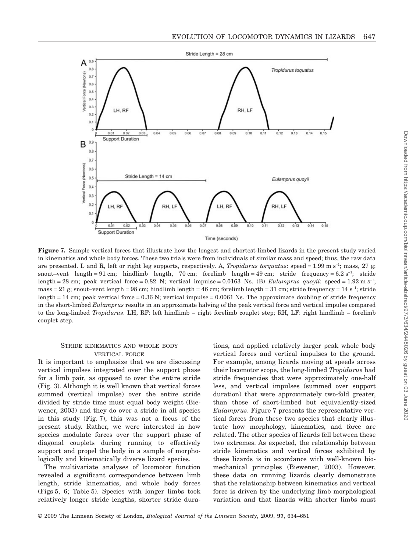

**Figure 7.** Sample vertical forces that illustrate how the longest and shortest-limbed lizards in the present study varied in kinematics and whole body forces. These two trials were from individuals of similar mass and speed; thus, the raw data are presented. L and R, left or right leg supports, respectively. A, *Tropidurus torquatus*: speed = 1.99 m s<sup>-1</sup>; mass, 27 g;  $s$ nout–vent length = 91 cm; hindlimb length, 70 cm; forelimb length = 49 cm; stride frequency = 6.2 s<sup>-1</sup>; stride  $length = 28$  cm; peak vertical force  $= 0.82$  N; vertical impulse  $= 0.0163$  Ns. (B) *Eulamprus quoyii*: speed  $= 1.92$  m s<sup>-1</sup>;  $mass = 21$  g; snout–vent length = 98 cm; hindlimb length = 46 cm; forelimb length = 31 cm; stride frequency = 14 s<sup>-1</sup>; stride length = 14 cm; peak vertical force = 0.36 N; vertical impulse = 0.0061 Ns. The approximate doubling of stride frequency in the short-limbed *Eulamprus* results in an approximate halving of the peak vertical force and vertical impulse compared to the long-limbed *Tropidurus*. LH, RF: left hindlimb – right forelimb couplet step; RH, LF: right hindlimb – forelimb couplet step.

## STRIDE KINEMATICS AND WHOLE BODY VERTICAL FORCE

It is important to emphasize that we are discussing vertical impulses integrated over the support phase for a limb pair, as opposed to over the entire stride (Fig. 3). Although it is well known that vertical forces summed (vertical impulse) over the entire stride divided by stride time must equal body weight (Biewener, 2003) and they do over a stride in all species in this study (Fig. 7), this was not a focus of the present study. Rather, we were interested in how species modulate forces over the support phase of diagonal couplets during running to effectively support and propel the body in a sample of morphologically and kinematically diverse lizard species.

The multivariate analyses of locomotor function revealed a significant correspondence between limb length, stride kinematics, and whole body forces (Figs 5, 6; Table 5). Species with longer limbs took relatively longer stride lengths, shorter stride durations, and applied relatively larger peak whole body vertical forces and vertical impulses to the ground. For example, among lizards moving at speeds across their locomotor scope, the long-limbed *Tropidurus* had stride frequencies that were approximately one-half less, and vertical impulses (summed over support duration) that were approximately two-fold greater, than those of short-limbed but equivalently-sized *Eulamprus*. Figure 7 presents the representative vertical forces from these two species that clearly illustrate how morphology, kinematics, and force are related. The other species of lizards fell between these two extremes. As expected, the relationship between stride kinematics and vertical forces exhibited by these lizards is in accordance with well-known biomechanical principles (Biewener, 2003). However, these data on running lizards clearly demonstrate that the relationship between kinematics and vertical force is driven by the underlying limb morphological variation and that lizards with shorter limbs must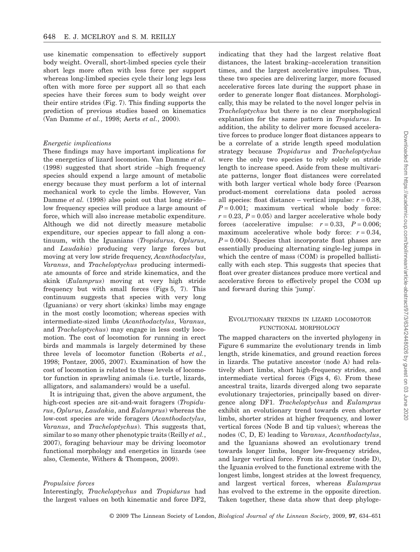use kinematic compensation to effectively support body weight. Overall, short-limbed species cycle their short legs more often with less force per support whereas long-limbed species cycle their long legs less often with more force per support all so that each species have their forces sum to body weight over their entire strides (Fig. 7). This finding supports the prediction of previous studies based on kinematics (Van Damme *et al.*, 1998; Aerts *et al.*, 2000).

## *Energetic implications*

These findings may have important implications for the energetics of lizard locomotion. Van Damme *et al.* (1998) suggested that short stride –high frequency species should expend a large amount of metabolic energy because they must perform a lot of internal mechanical work to cycle the limbs. However, Van Damme *et al.* (1998) also point out that long stride– low frequency species will produce a large amount of force, which will also increase metabolic expenditure. Although we did not directly measure metabolic expenditure, our species appear to fall along a continuum, with the Iguanians (*Tropidurus*, *Oplurus*, and *Laudakia*) producing very large forces but moving at very low stride frequency, *Acanthodactylus*, *Varanus*, and *Tracheloptychus* producing intermediate amounts of force and stride kinematics, and the skink (*Eulamprus*) moving at very high stride frequency but with small forces (Figs 5, 7). This continuum suggests that species with very long (Iguanians) or very short (skinks) limbs may engage in the most costly locomotion; whereas species with intermediate-sized limbs (*Acanthodactylus*, *Varanus*, and *Tracheloptychus*) may engage in less costly locomotion. The cost of locomotion for running in erect birds and mammals is largely determined by these three levels of locomotor function (Roberts *et al.*, 1998; Pontzer, 2005, 2007). Examination of how the cost of locomotion is related to these levels of locomotor function in sprawling animals (i.e. turtle, lizards, alligators, and salamanders) would be a useful.

It is intriguing that, given the above argument, the high-cost species are sit-and-wait foragers (*Tropidurus*, *Oplurus*, *Laudakia*, and *Eulamprus*) whereas the low-cost species are wide foragers (*Acanthodactylus*, *Varanus*, and *Tracheloptychus*). This suggests that, similar to so many other phenotypic traits (Reilly *et al.*, 2007), foraging behaviour may be driving locomotor functional morphology and energetics in lizards (see also, Clemente, Withers & Thompson, 2009).

## *Propulsive forces*

Interestingly, *Tracheloptychus* and *Tropidurus* had the largest values on both kinematic and force DF2,

indicating that they had the largest relative float distances, the latest braking–acceleration transition times, and the largest accelerative impulses. Thus, these two species are delivering larger, more focused accelerative forces late during the support phase in order to generate longer float distances. Morphologically, this may be related to the novel longer pelvis in *Tracheloptychus* but there is no clear morphological explanation for the same pattern in *Tropidurus*. In addition, the ability to deliver more focused accelerative forces to produce longer float distances appears to be a correlate of a stride length speed modulation strategy because *Tropidurus* and *Tracheloptychus* were the only two species to rely solely on stride length to increase speed. Aside from these multivariate patterns, longer float distances were correlated with both larger vertical whole body force (Pearson product-moment correlations data pooled across all species: float distance – vertical impulse:  $r = 0.38$ ,  $P = 0.001$ ; maximum vertical whole body force:  $r = 0.23$ ,  $P = 0.05$ ) and larger accelerative whole body forces (accelerative impulse:  $r = 0.33$ ,  $P = 0.006$ ; maximum accelerative whole body force:  $r = 0.34$ ,  $P = 0.004$ ). Species that incorporate float phases are essentially producing alternating single-leg jumps in which the centre of mass (COM) is propelled ballistically with each step. This suggests that species that float over greater distances produce more vertical and accelerative forces to effectively propel the COM up and forward during this 'jump'.

## EVOLUTIONARY TRENDS IN LIZARD LOCOMOTOR FUNCTIONAL MORPHOLOGY

The mapped characters on the inverted phylogeny in Figure 6 summarize the evolutionary trends in limb length, stride kinematics, and ground reaction forces in lizards. The putative ancestor (node A) had relatively short limbs, short high-frequency strides, and intermediate vertical forces (Figs 4, 6). From these ancestral traits, lizards diverged along two separate evolutionary trajectories, principally based on divergence along DF1. *Tracheloptychus* and *Eulamprus* exhibit an evolutionary trend towards even shorter limbs, shorter strides at higher frequency, and lower vertical forces (Node B and tip values); whereas the nodes (C, D, E) leading to *Varanus*, *Acanthodactylus*, and the Iguanians showed an evolutionary trend towards longer limbs, longer low-frequency strides, and larger vertical force. From its ancestor (node D), the Iguania evolved to the functional extreme with the longest limbs, longest strides at the lowest frequency, and largest vertical forces, whereas *Eulamprus* has evolved to the extreme in the opposite direction. Taken together, these data show that deep phyloge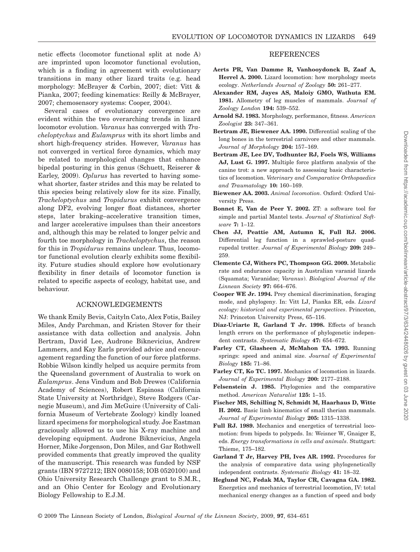netic effects (locomotor functional split at node A) are imprinted upon locomotor functional evolution, which is a finding in agreement with evolutionary transitions in many other lizard traits (e.g. head morphology: McBrayer & Corbin, 2007; diet: Vitt & Pianka, 2007; feeding kinematics: Reilly & McBrayer, 2007; chemosensory systems: Cooper, 2004).

Several cases of evolutionary convergence are evident within the two overarching trends in lizard locomotor evolution. *Varanus* has converged with *Tracheloptychus* and *Eulamprus* with its short limbs and short high-frequency strides. However, *Varanus* has not converged in vertical force dynamics, which may be related to morphological changes that enhance bipedal posturing in this genus (Schuett, Reiserer & Earley, 2009). *Oplurus* has reverted to having somewhat shorter, faster strides and this may be related to this species being relatively slow for its size. Finally, *Tracheloptychus* and *Tropidurus* exhibit convergence along DF2, evolving longer float distances, shorter steps, later braking–accelerative transition times, and larger accelerative impulses than their ancestors and, although this may be related to longer pelvic and fourth toe morphology in *Tracheloptychus*, the reason for this in *Tropidurus* remains unclear. Thus, locomotor functional evolution clearly exhibits some flexibility. Future studies should explore how evolutionary flexibility in finer details of locomotor function is related to specific aspects of ecology, habitat use, and behaviour.

## ACKNOWLEDGEMENTS

We thank Emily Bevis, Caityln Cato, Alex Fotis, Bailey Miles, Andy Parchman, and Kristen Stover for their assistance with data collection and analysis. John Bertram, David Lee, Audrone Biknevicius, Andrew Lammers, and Kay Earls provided advice and encouragement regarding the function of our force platforms. Robbie Wilson kindly helped us acquire permits from the Queensland government of Australia to work on *Eulamprus*. Jens Vindum and Bob Drewes (California Academy of Sciences), Robert Espinosa (California State University at Northridge), Steve Rodgers (Carnegie Museum), and Jim McGuire (University of California Museum of Vertebrate Zoology) kindly loaned lizard specimens for morphological study. Joe Eastman graciously allowed us to use his X-ray machine and developing equipment. Audrone Biknevicius, Angela Horner, Mike Jorgenson, Don Miles, and Gar Rothwell provided comments that greatly improved the quality of the manuscript. This research was funded by NSF grants (IBN 9727212; IBN 0080158; IOB 0520100) and Ohio University Research Challenge grant to S.M.R., and an Ohio Center for Ecology and Evolutionary Biology Fellowship to E.J.M.

## **REFERENCES**

- **Aerts PR, Van Damme R, Vanhooydonck B, Zaaf A, Herrel A. 2000.** Lizard locomotion: how morphology meets ecology. *Netherlands Journal of Zoology* **50:** 261–277.
- **Alexander RM, Jayes AS, Maloiy GMO, Wathuta EM. 1981.** Allometry of leg muscles of mammals. *Journal of Zoology London* **194:** 539–552.
- **Arnold SJ. 1983.** Morphology, performance, fitness. *American Zoologist* **23:** 347–361.
- **Bertram JE, Biewener AA. 1990.** Differential scaling of the long bones in the terrestrial carnivore and other mammals. *Journal of Morphology* **204:** 157–169.
- **Bertram JE, Lee DV, Todhunter RJ, Foels WS, Williams AJ, Lust G. 1997.** Multiple force platform analysis of the canine trot: a new approach to assessing basic characteristics of locomotion. *Veterinary and Comparative Orthopaedics and Traumatology* **10:** 160–169.
- **Biewener AA. 2003.** *Animal locomotion*. Oxford: Oxford University Press.
- **Bonnet E, Van de Peer Y. 2002.** ZT: a software tool for simple and partial Mantel tests. *Journal of Statistical Software* **7:** 1–12.
- **Chen JJ, Peattie AM, Autumn K, Full RJ. 2006.** Differential leg function in a sprawled-posture quadrupedal trotter. *Journal of Experimental Biology* **209:** 249– 259.
- **Clemente CJ, Withers PC, Thompson GG. 2009.** Metabolic rate and endurance capacity in Australian varanid lizards (Squamata; Varanidae; *Varanus*). *Biological Journal of the Linnean Society* **97:** 664–676.
- **Cooper WE Jr. 1994.** Prey chemical discrimination, foraging mode, and phylogeny. In: Vitt LJ, Pianka ER, eds. *Lizard ecology: historical and experimental perspectives*. Princeton, NJ: Princeton University Press, 65–116.
- **Diaz-Uriarte R, Garland T Jr. 1998.** Effects of branch length errors on the performance of phylogenetic independent contrasts. *Systematic Biology* **47:** 654–672.
- **Farley CT, Glasheen J, McMahon TA. 1993.** Running springs: speed and animal size. *Journal of Experimental Biology* **185:** 71–86.
- **Farley CT, Ko TC. 1997.** Mechanics of locomotion in lizards. *Journal of Experimental Biology* **200:** 2177–2188.
- **Felsenstein J. 1985.** Phylogenies and the comparative method. *American Naturalist* **125:** 1–15.
- **Fischer MS, Schilling N, Schmidt M, Haarhaus D, Witte H. 2002.** Basic limb kinematics of small therian mammals. *Journal of Experimental Biology* **205:** 1315–1338.
- **Full RJ. 1989.** Mechanics and energetics of terrestrial locomotion: from bipeds to polypeds. In: Weisner W, Gnaiger E, eds. *Energy transformations in cells and animals*. Stuttgart: Thieme, 175–182.
- **Garland T Jr, Harvey PH, Ives AR. 1992.** Procedures for the analysis of comparative data using phylogenetically independent contrasts. *Systematic Biology* **41:** 18–32.
- **Heglund NC, Fedak MA, Taylor CR, Cavagna GA. 1982.** Energetics and mechanics of terrestrial locomotion, IV: total mechanical energy changes as a function of speed and body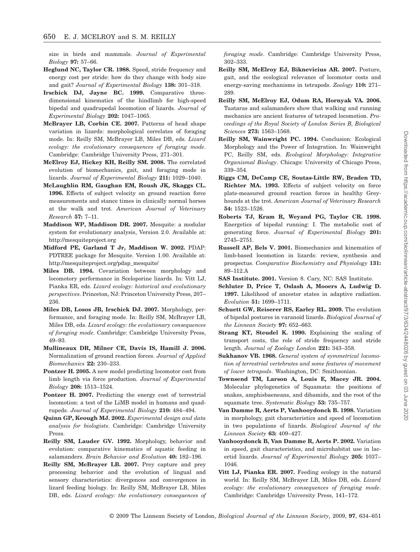size in birds and mammals. *Journal of Experimental Biology* **97:** 57–66.

- **Heglund NC, Taylor CR. 1988.** Speed, stride frequency and energy cost per stride: how do they change with body size and gait? *Journal of Experimental Biology* **138:** 301–318.
- **Irschick DJ, Jayne BC. 1999.** Comparative threedimensional kinematics of the hindlimb for high-speed bipedal and quadrupedal locomotion of lizards. *Journal of Experimental Biology* **202:** 1047–1065.
- **McBrayer LB, Corbin CE. 2007.** Patterns of head shape variation in lizards: morphological correlates of foraging mode. In: Reilly SM, McBrayer LB, Miles DB, eds. *Lizard ecology: the evolutionary consequences of foraging mode*. Cambridge: Cambridge University Press, 271–301.
- **McElroy EJ, Hickey KH, Reilly SM. 2008.** The correlated evolution of biomechanics, gait, and foraging mode in lizards. *Journal of Experimental Biology* **211:** 1029–1040.
- **McLaughlin RM, Gaughan EM, Roush JK, Skaggs CL. 1996.** Effects of subject velocity on ground reaction force measurements and stance times in clinically normal horses at the walk and trot. *American Journal of Veterinary Research* **57:** 7–11.
- **Maddison WP, Maddison DR. 2007.** Mesquite: a modular system for evolutionary analysis, Version 2.0. Available at: <http://mesquiteproject.org>
- **Midford PE, Garland T Jr, Maddison W. 2002.** PDAP: PDTREE package for Mesquite. Version 1.00. Available at: [http://mesquiteproject.org/pdap\\_mesquite/](http://mesquiteproject.org/pdap_mesquite)
- **Miles DB. 1994.** Covariation between morphology and locomotory performance in Sceloporine lizards. In: Vitt LJ, Pianka ER, eds. *Lizard ecology: historical and evolutionary perspectives*. Princeton, NJ: Princeton University Press, 207– 236.
- **Miles DB, Losos JB, Irschick DJ. 2007.** Morphology, performance, and foraging mode. In: Reilly SM, McBrayer LB, Miles DB, eds. *Lizard ecology: the evolutionary consequences of foraging mode*. Cambridge: Cambridge University Press, 49–93.
- **Mullineaux DR, Milner CE, Davis IS, Hamill J. 2006.** Normalization of ground reaction forces. *Journal of Applied Biomechanics* **22:** 230–233.
- **Pontzer H. 2005.** A new model predicting locomotor cost from limb length via force production. *Journal of Experimental Biology* **208:** 1513–1524.
- **Pontzer H. 2007.** Predicting the energy cost of terrestrial locomotion: a test of the LiMB model in humans and quadrupeds. *Journal of Experimental Biology* **210:** 484–494.
- **Quinn GP, Keough MJ. 2002.** *Experimental design and data analysis for biologists*. Cambridge: Cambridge University Press.
- **Reilly SM, Lauder GV. 1992.** Morphology, behavior and evolution: comparative kinematics of aquatic feeding in salamanders. *Brain Behavior and Evolution* **40:** 182–196.
- **Reilly SM, McBrayer LB. 2007.** Prey capture and prey processing behavior and the evolution of lingual and sensory characteristics: divergences and convergences in lizard feeding biology. In: Reilly SM, McBrayer LB, Miles DB, eds. *Lizard ecology: the evolutionary consequences of*

*foraging mode*. Cambridge: Cambridge University Press, 302–333.

- **Reilly SM, McElroy EJ, Biknevicius AR. 2007.** Posture, gait, and the ecological relevance of locomotor costs and energy-saving mechanisms in tetrapods. *Zoology* **110:** 271– 289.
- **Reilly SM, McElroy EJ, Odum RA, Hornyak VA. 2006.** Tuataras and salamanders show that walking and running mechanics are ancient features of tetrapod locomotion. *Proceedings of the Royal Society of London Series B, Biological Sciences* **273:** 1563–1568.
- **Reilly SM, Wainwright PC. 1994.** Conclusion: Ecological Morphology and the Power of Integration. In: Wainwright PC, Reilly SM, eds. *Ecological Morphology: Integrative Organismal Biology*. Chicago: University of Chicago Press, 339–354.
- **Riggs CM, DeCamp CE, Soutas-Little RW, Braden TD, Richter MA. 1993.** Effects of subject velocity on force plate-measured ground reaction forces in healthy Greyhounds at the trot. *American Journal of Veterinary Research* **54:** 1523–1526.
- **Roberts TJ, Kram R, Weyand PG, Taylor CR. 1998.** Energetics of bipedal running: I. The metabolic cost of generating force. *Journal of Experimental Biology* **201:** 2745–2751.
- **Russell AP, Bels V. 2001.** Biomechanics and kinematics of limb-based locomotion in lizards: review, synthesis and prospectus. *Comparative Biochemistry and Physiology* **131:** 89–112.A
- **SAS Institute. 2001.** Version 8. Cary, NC: SAS Institute.
- **Schluter D, Price T, Oslash A, Mooers A, Ludwig D. 1997.** Likelihood of ancestor states in adaptive radiation. *Evolution* **51:** 1699–1711.
- **Schuett GW, Reiserer RS, Earley RL. 2009.** The evolution of bipedal postures in varanoid lizards. *Biological Journal of the Linnean Society* **97:** 652–663.
- **Strang KT, Steudel K. 1990.** Explaining the scaling of transport costs, the role of stride frequency and stride length. *Journal of Zoology London* **221:** 343–358.
- **Sukhanov VB. 1968.** *General system of symmetrical locomotion of terrestrial vertebrates and some features of movement of lower tetrapods*. Washington, DC: Smithsonian.
- **Townsend TM, Larson A, Louis E, Macey JR. 2004.** Molecular phylogenetics of Squamata: the positions of snakes, amphisbaeneans, and dibamids, and the root of the squamate tree. *Systematic Biology* **53:** 735–757.
- **Van Damme R, Aerts P, Vanhooydonck B. 1998.** Variation in morphology, gait characteristics and speed of locomotion in two populations of lizards. *Biological Journal of the Linnean Society* **63:** 409–427.
- **Vanhooydonck B, Van Damme R, Aerts P. 2002.** Variation in speed, gait characteristics, and microhabitat use in lacertid lizards. *Journal of Experimental Biology* **205:** 1037– 1046.
- **Vitt LJ, Pianka ER. 2007.** Feeding ecology in the natural world. In: Reilly SM, McBrayer LB, Miles DB, eds. *Lizard ecology: the evolutionary consequences of foraging mode*. Cambridge: Cambridge University Press, 141–172.